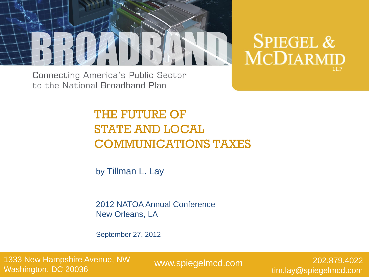

**SPIEGEL & MCDIARMID** 

**Connecting America's Public Sector** to the National Broadband Plan

# THE FUTURE OF STATE AND LOCAL COMMUNICATIONS TAXES

by Tillman L. Lay

2012 NATOA Annual Conference New Orleans, LA

September 27, 2012

1333 New Hampshire Avenue, NW Washington, DC 20036

www.spiegelmcd.com

202.879.4022 tim.lay@spiegelmcd.com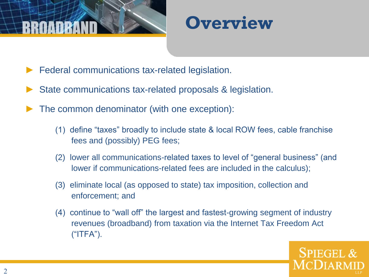



- Federal communications tax-related legislation.
- State communications tax-related proposals & legislation.
- The common denominator (with one exception):
	- (1) define "taxes" broadly to include state & local ROW fees, cable franchise fees and (possibly) PEG fees;
	- (2) lower all communications-related taxes to level of "general business" (and lower if communications-related fees are included in the calculus);
	- (3) eliminate local (as opposed to state) tax imposition, collection and enforcement; and
	- (4) continue to "wall off" the largest and fastest-growing segment of industry revenues (broadband) from taxation via the Internet Tax Freedom Act ("ITFA").

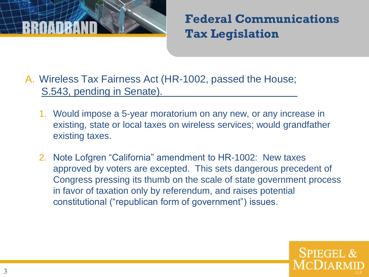

**Federal Communications Tax Legislation** 

- A. Wireless Tax Fairness Act (HR-1002, passed the House; S.543, pending in Senate).
	- 1. Would impose a 5-year moratorium on any new, or any increase in existing, state or local taxes on wireless services; would grandfather existing taxes.
	- 2. Note Lofgren "California" amendment to HR-1002: New taxes approved by voters are excepted. This sets dangerous precedent of Congress pressing its thumb on the scale of state government process in favor of taxation only by referendum, and raises potential constitutional ("republican form of government") issues.

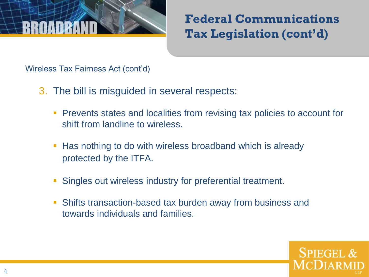

Wireless Tax Fairness Act (cont'd)

- 3. The bill is misguided in several respects:
	- **Prevents states and localities from revising tax policies to account for** shift from landline to wireless.
	- Has nothing to do with wireless broadband which is already protected by the ITFA.
	- Singles out wireless industry for preferential treatment.
	- Shifts transaction-based tax burden away from business and towards individuals and families.

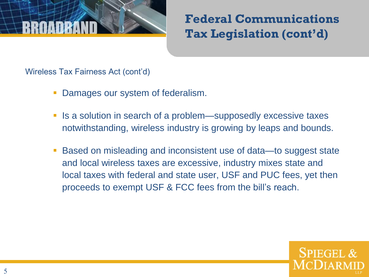

Wireless Tax Fairness Act (cont'd)

- Damages our system of federalism.
- Is a solution in search of a problem—supposedly excessive taxes notwithstanding, wireless industry is growing by leaps and bounds.
- Based on misleading and inconsistent use of data—to suggest state and local wireless taxes are excessive, industry mixes state and local taxes with federal and state user, USF and PUC fees, yet then proceeds to exempt USF & FCC fees from the bill's reach.

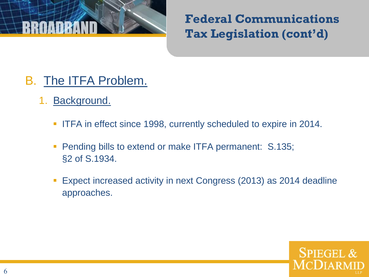

- B. The ITFA Problem.
	- 1. Background.
		- **ITFA in effect since 1998, currently scheduled to expire in 2014.**
		- **Pending bills to extend or make ITFA permanent: S.135;** §2 of S.1934.
		- Expect increased activity in next Congress (2013) as 2014 deadline approaches.

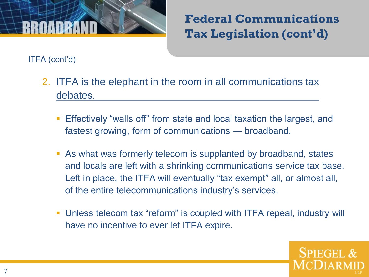

ITFA (cont'd)

- 2. ITFA is the elephant in the room in all communications tax debates.
	- Effectively "walls off" from state and local taxation the largest, and fastest growing, form of communications — broadband.
	- As what was formerly telecom is supplanted by broadband, states and locals are left with a shrinking communications service tax base. Left in place, the ITFA will eventually "tax exempt" all, or almost all, of the entire telecommunications industry's services.
	- Unless telecom tax "reform" is coupled with ITFA repeal, industry will have no incentive to ever let ITFA expire.

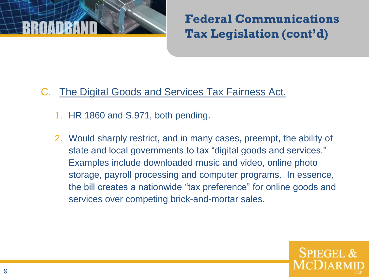

### C. The Digital Goods and Services Tax Fairness Act.

- 1. HR 1860 and S.971, both pending.
- 2. Would sharply restrict, and in many cases, preempt, the ability of state and local governments to tax "digital goods and services." Examples include downloaded music and video, online photo storage, payroll processing and computer programs. In essence, the bill creates a nationwide "tax preference" for online goods and services over competing brick-and-mortar sales.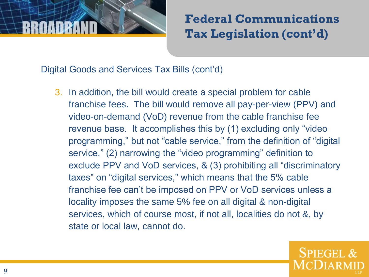

Digital Goods and Services Tax Bills (cont'd)

3. In addition, the bill would create a special problem for cable franchise fees. The bill would remove all pay-per-view (PPV) and video-on-demand (VoD) revenue from the cable franchise fee revenue base. It accomplishes this by (1) excluding only "video programming," but not "cable service," from the definition of "digital service," (2) narrowing the "video programming" definition to exclude PPV and VoD services, & (3) prohibiting all "discriminatory taxes" on "digital services," which means that the 5% cable franchise fee can't be imposed on PPV or VoD services unless a locality imposes the same 5% fee on all digital & non-digital services, which of course most, if not all, localities do not &, by state or local law, cannot do.

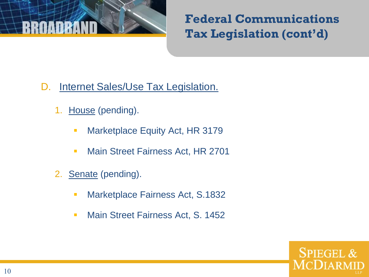

- D. Internet Sales/Use Tax Legislation.
	- 1. House (pending).
		- **Marketplace Equity Act, HR 3179**
		- **Main Street Fairness Act, HR 2701**
	- 2. Senate (pending).
		- **Marketplace Fairness Act, S.1832**
		- **Main Street Fairness Act, S. 1452**

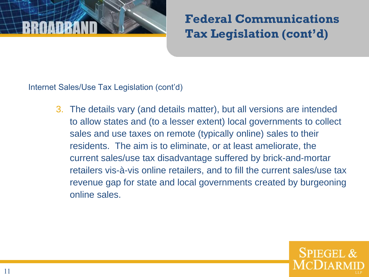

Internet Sales/Use Tax Legislation (cont'd)

3. The details vary (and details matter), but all versions are intended to allow states and (to a lesser extent) local governments to collect sales and use taxes on remote (typically online) sales to their residents. The aim is to eliminate, or at least ameliorate, the current sales/use tax disadvantage suffered by brick-and-mortar retailers vis-à-vis online retailers, and to fill the current sales/use tax revenue gap for state and local governments created by burgeoning online sales.

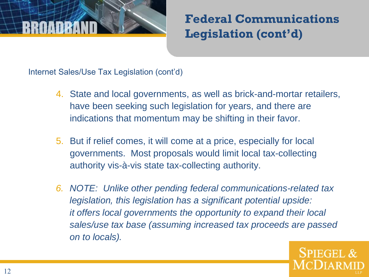

Internet Sales/Use Tax Legislation (cont'd)

- 4. State and local governments, as well as brick-and-mortar retailers, have been seeking such legislation for years, and there are indications that momentum may be shifting in their favor.
- 5. But if relief comes, it will come at a price, especially for local governments. Most proposals would limit local tax-collecting authority vis-à-vis state tax-collecting authority.
- *6. NOTE: Unlike other pending federal communications-related tax legislation, this legislation has a significant potential upside: it offers local governments the opportunity to expand their local sales/use tax base (assuming increased tax proceeds are passed on to locals).*

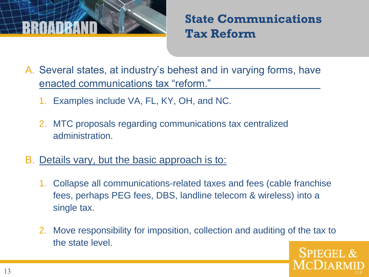

**State Communications Tax Reform**

A. Several states, at industry's behest and in varying forms, have enacted communications tax "reform."

- 1. Examples include VA, FL, KY, OH, and NC.
- 2. MTC proposals regarding communications tax centralized administration.
- B. Details vary, but the basic approach is to:
	- 1. Collapse all communications-related taxes and fees (cable franchise fees, perhaps PEG fees, DBS, landline telecom & wireless) into a single tax.
	- 2. Move responsibility for imposition, collection and auditing of the tax to the state level. **SPIEGEL &**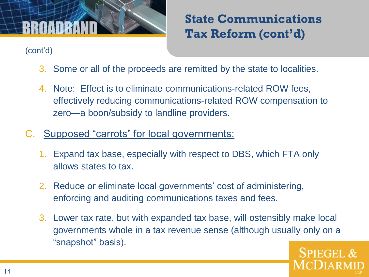

- 3. Some or all of the proceeds are remitted by the state to localities.
- 4. Note: Effect is to eliminate communications-related ROW fees, effectively reducing communications-related ROW compensation to zero—a boon/subsidy to landline providers.
- C. Supposed "carrots" for local governments:
	- 1. Expand tax base, especially with respect to DBS, which FTA only allows states to tax.
	- 2. Reduce or eliminate local governments' cost of administering, enforcing and auditing communications taxes and fees.
	- 3. Lower tax rate, but with expanded tax base, will ostensibly make local governments whole in a tax revenue sense (although usually only on a "snapshot" basis).

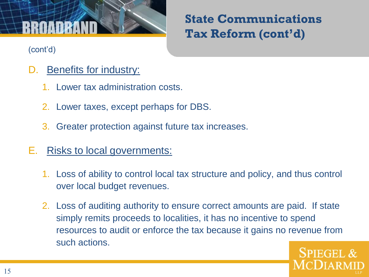- D. Benefits for industry:
	- 1. Lower tax administration costs.
	- 2. Lower taxes, except perhaps for DBS.
	- 3. Greater protection against future tax increases.
- E. Risks to local governments:
	- 1. Loss of ability to control local tax structure and policy, and thus control over local budget revenues.
	- 2. Loss of auditing authority to ensure correct amounts are paid. If state simply remits proceeds to localities, it has no incentive to spend resources to audit or enforce the tax because it gains no revenue from such actions.

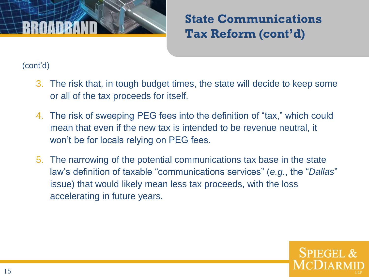

- 3. The risk that, in tough budget times, the state will decide to keep some or all of the tax proceeds for itself.
- 4. The risk of sweeping PEG fees into the definition of "tax," which could mean that even if the new tax is intended to be revenue neutral, it won't be for locals relying on PEG fees.
- 5. The narrowing of the potential communications tax base in the state law's definition of taxable "communications services" (*e.g.*, the "*Dallas*" issue) that would likely mean less tax proceeds, with the loss accelerating in future years.

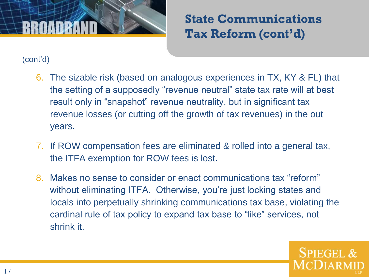

- 6. The sizable risk (based on analogous experiences in TX, KY & FL) that the setting of a supposedly "revenue neutral" state tax rate will at best result only in "snapshot" revenue neutrality, but in significant tax revenue losses (or cutting off the growth of tax revenues) in the out years.
- 7. If ROW compensation fees are eliminated & rolled into a general tax, the ITFA exemption for ROW fees is lost.
- 8. Makes no sense to consider or enact communications tax "reform" without eliminating ITFA. Otherwise, you're just locking states and locals into perpetually shrinking communications tax base, violating the cardinal rule of tax policy to expand tax base to "like" services, not shrink it.

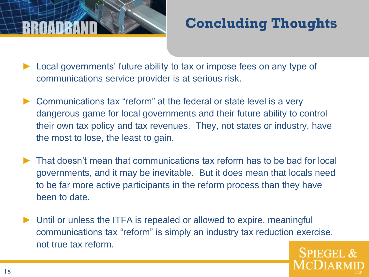# **Concluding Thoughts**

- Local governments' future ability to tax or impose fees on any type of communications service provider is at serious risk.
- ► Communications tax "reform" at the federal or state level is a very dangerous game for local governments and their future ability to control their own tax policy and tax revenues. They, not states or industry, have the most to lose, the least to gain.
- ► That doesn't mean that communications tax reform has to be bad for local governments, and it may be inevitable. But it does mean that locals need to be far more active participants in the reform process than they have been to date.
- ► Until or unless the ITFA is repealed or allowed to expire, meaningful communications tax "reform" is simply an industry tax reduction exercise, not true tax reform.